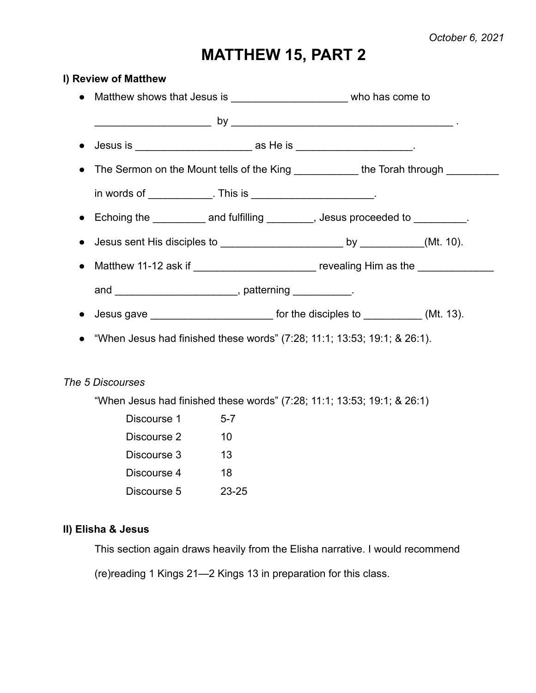## **MATTHEW 15, PART 2**

# **I) Review of Matthew** ● Matthew shows that Jesus is  $\bullet$  who has come to \_\_\_\_\_\_\_\_\_\_\_\_\_\_\_\_\_\_\_\_ by \_\_\_\_\_\_\_\_\_\_\_\_\_\_\_\_\_\_\_\_\_\_\_\_\_\_\_\_\_\_\_\_\_\_\_\_\_\_ . ● Jesus is \_\_\_\_\_\_\_\_\_\_\_\_\_\_\_\_\_\_\_\_ as He is \_\_\_\_\_\_\_\_\_\_\_\_\_\_\_\_\_\_\_\_. • The Sermon on the Mount tells of the King \_\_\_\_\_\_\_\_\_\_\_\_ the Torah through \_\_\_\_\_\_ in words of This is the set of the set of  $\sim$ ● Echoing the and fulfilling , Jesus proceeded to the set of the set of the and fulfilling the set of the set of the set of the set of the set of the set of the set of the set of the set of the set of the set of the set o ● Jesus sent His disciples to \_\_\_\_\_\_\_\_\_\_\_\_\_\_\_\_\_\_\_\_\_ by \_\_\_\_\_\_\_\_\_\_\_(Mt. 10). ● Matthew 11-12 ask if \_\_\_\_\_\_\_\_\_\_\_\_\_\_\_\_\_\_\_\_\_\_\_ revealing Him as the \_\_\_\_\_\_\_\_\_\_\_ and \_\_\_\_\_\_\_\_\_\_\_\_\_\_\_\_\_\_\_\_\_\_\_\_, patterning \_\_\_\_\_\_\_\_\_\_. ● Jesus gave \_\_\_\_\_\_\_\_\_\_\_\_\_\_\_\_\_\_\_\_\_ for the disciples to \_\_\_\_\_\_\_\_\_\_ (Mt. 13). ● "When Jesus had finished these words" (7:28; 11:1; 13:53; 19:1; & 26:1). *The 5 Discourses* "When Jesus had finished these words" (7:28; 11:1; 13:53; 19:1; & 26:1) Discourse 1 5-7 Discourse 2 10 Discourse 3 13 Discourse 4 18

Discourse 5 23-25

### **II) Elisha & Jesus**

This section again draws heavily from the Elisha narrative. I would recommend

(re)reading 1 Kings 21—2 Kings 13 in preparation for this class.